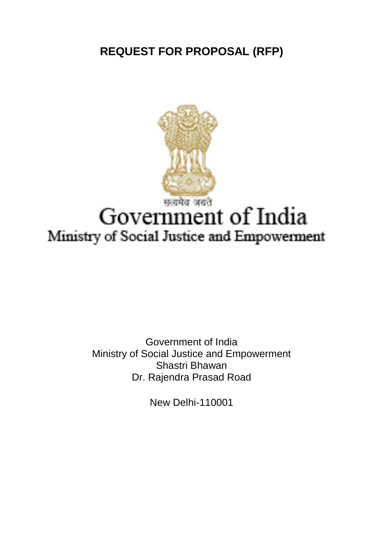**REQUEST FOR PROPOSAL (RFP)**



Government of India Ministry of Social Justice and Empowerment Shastri Bhawan Dr. Rajendra Prasad Road

New Delhi-110001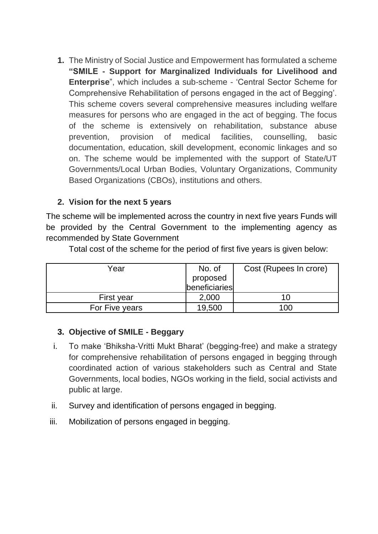**1.** The Ministry of Social Justice and Empowerment has formulated a scheme **"SMILE - Support for Marginalized Individuals for Livelihood and Enterprise**", which includes a sub-scheme - 'Central Sector Scheme for Comprehensive Rehabilitation of persons engaged in the act of Begging'. This scheme covers several comprehensive measures including welfare measures for persons who are engaged in the act of begging. The focus of the scheme is extensively on rehabilitation, substance abuse prevention, provision of medical facilities, counselling, basic documentation, education, skill development, economic linkages and so on. The scheme would be implemented with the support of State/UT Governments/Local Urban Bodies, Voluntary Organizations, Community Based Organizations (CBOs), institutions and others.

### **2. Vision for the next 5 years**

The scheme will be implemented across the country in next five years Funds will be provided by the Central Government to the implementing agency as recommended by State Government

| Year           | No. of                    | Cost (Rupees In crore) |
|----------------|---------------------------|------------------------|
|                | proposed<br>beneficiaries |                        |
|                |                           |                        |
| First year     | 2,000                     |                        |
| For Five years | 19,500                    | 100                    |

Total cost of the scheme for the period of first five years is given below:

#### **3. Objective of SMILE - Beggary**

- i. To make 'Bhiksha-Vritti Mukt Bharat' (begging-free) and make a strategy for comprehensive rehabilitation of persons engaged in begging through coordinated action of various stakeholders such as Central and State Governments, local bodies, NGOs working in the field, social activists and public at large.
- ii. Survey and identification of persons engaged in begging.
- iii. Mobilization of persons engaged in begging.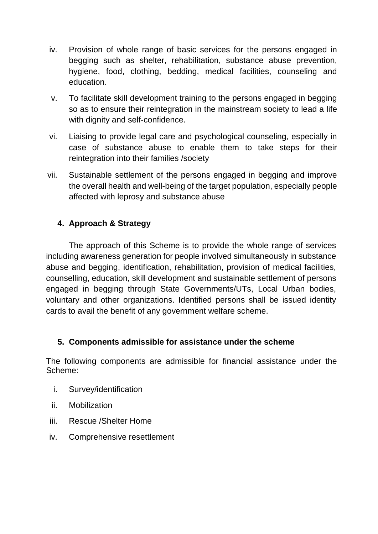- iv. Provision of whole range of basic services for the persons engaged in begging such as shelter, rehabilitation, substance abuse prevention, hygiene, food, clothing, bedding, medical facilities, counseling and education.
- v. To facilitate skill development training to the persons engaged in begging so as to ensure their reintegration in the mainstream society to lead a life with dignity and self-confidence.
- vi. Liaising to provide legal care and psychological counseling, especially in case of substance abuse to enable them to take steps for their reintegration into their families /society
- vii. Sustainable settlement of the persons engaged in begging and improve the overall health and well-being of the target population, especially people affected with leprosy and substance abuse

### **4. Approach & Strategy**

The approach of this Scheme is to provide the whole range of services including awareness generation for people involved simultaneously in substance abuse and begging, identification, rehabilitation, provision of medical facilities, counselling, education, skill development and sustainable settlement of persons engaged in begging through State Governments/UTs, Local Urban bodies, voluntary and other organizations. Identified persons shall be issued identity cards to avail the benefit of any government welfare scheme.

#### **5. Components admissible for assistance under the scheme**

The following components are admissible for financial assistance under the Scheme:

- i. Survey/identification
- ii. Mobilization
- iii. Rescue /Shelter Home
- iv. Comprehensive resettlement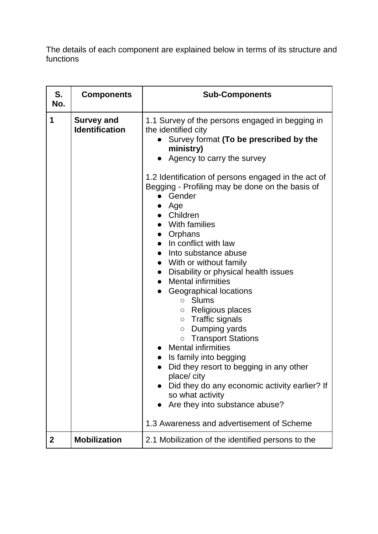The details of each component are explained below in terms of its structure and functions

| S.<br>No.    | <b>Components</b>                          | <b>Sub-Components</b>                                                                                                                                                                                                                                                                                                                                                                                                                                                                                                                                                                                                                                                                                                                                                                                            |  |  |  |  |
|--------------|--------------------------------------------|------------------------------------------------------------------------------------------------------------------------------------------------------------------------------------------------------------------------------------------------------------------------------------------------------------------------------------------------------------------------------------------------------------------------------------------------------------------------------------------------------------------------------------------------------------------------------------------------------------------------------------------------------------------------------------------------------------------------------------------------------------------------------------------------------------------|--|--|--|--|
| 1            | <b>Survey and</b><br><b>Identification</b> | 1.1 Survey of the persons engaged in begging in<br>the identified city<br>Survey format (To be prescribed by the<br>ministry)<br>Agency to carry the survey<br>1.2 Identification of persons engaged in the act of<br>Begging - Profiling may be done on the basis of<br>Gender<br>$\bullet$ Age<br>Children<br>With families<br>• Orphans<br>$\bullet$ In conflict with law<br>Into substance abuse<br>$\bullet$<br>• With or without family<br>Disability or physical health issues<br><b>Mental infirmities</b><br>Geographical locations<br>○ Slums<br>Religious places<br>$\circ$<br>$\circ$ Traffic signals<br>Dumping yards<br>$\circ$<br><b>o</b> Transport Stations<br><b>Mental infirmities</b><br>Is family into begging<br>Did they resort to begging in any other<br>place/city<br>so what activity |  |  |  |  |
|              |                                            | Did they do any economic activity earlier? If<br>Are they into substance abuse?                                                                                                                                                                                                                                                                                                                                                                                                                                                                                                                                                                                                                                                                                                                                  |  |  |  |  |
|              |                                            | 1.3 Awareness and advertisement of Scheme                                                                                                                                                                                                                                                                                                                                                                                                                                                                                                                                                                                                                                                                                                                                                                        |  |  |  |  |
| $\mathbf{2}$ | <b>Mobilization</b>                        | 2.1 Mobilization of the identified persons to the                                                                                                                                                                                                                                                                                                                                                                                                                                                                                                                                                                                                                                                                                                                                                                |  |  |  |  |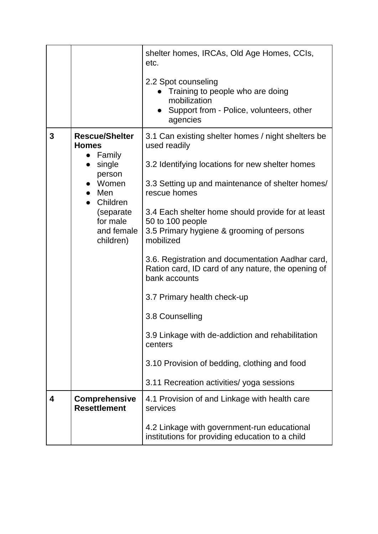|   |                                                                                                                                                                                | shelter homes, IRCAs, Old Age Homes, CCIs,<br>etc.<br>2.2 Spot counseling<br>Training to people who are doing<br>mobilization<br>Support from - Police, volunteers, other<br>agencies                                                                                                                                                                                                                                                                                                                                                                                                                                                                                 |
|---|--------------------------------------------------------------------------------------------------------------------------------------------------------------------------------|-----------------------------------------------------------------------------------------------------------------------------------------------------------------------------------------------------------------------------------------------------------------------------------------------------------------------------------------------------------------------------------------------------------------------------------------------------------------------------------------------------------------------------------------------------------------------------------------------------------------------------------------------------------------------|
| 3 | <b>Rescue/Shelter</b><br><b>Homes</b><br>$\bullet$ Family<br>• single<br>person<br>• Women<br>$\bullet$ Men<br>• Children<br>(separate)<br>for male<br>and female<br>children) | 3.1 Can existing shelter homes / night shelters be<br>used readily<br>3.2 Identifying locations for new shelter homes<br>3.3 Setting up and maintenance of shelter homes/<br>rescue homes<br>3.4 Each shelter home should provide for at least<br>50 to 100 people<br>3.5 Primary hygiene & grooming of persons<br>mobilized<br>3.6. Registration and documentation Aadhar card,<br>Ration card, ID card of any nature, the opening of<br>bank accounts<br>3.7 Primary health check-up<br>3.8 Counselling<br>3.9 Linkage with de-addiction and rehabilitation<br>centers<br>3.10 Provision of bedding, clothing and food<br>3.11 Recreation activities/ yoga sessions |
| 4 | <b>Comprehensive</b><br><b>Resettlement</b>                                                                                                                                    | 4.1 Provision of and Linkage with health care<br>services<br>4.2 Linkage with government-run educational<br>institutions for providing education to a child                                                                                                                                                                                                                                                                                                                                                                                                                                                                                                           |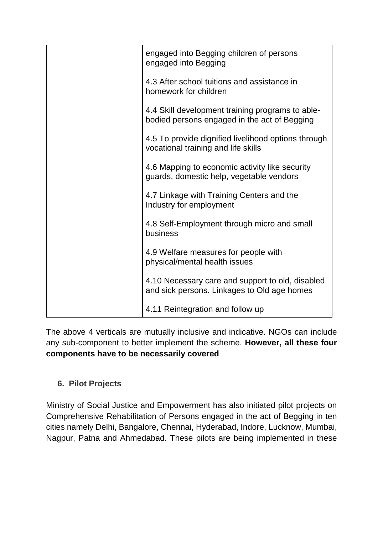|  | engaged into Begging children of persons<br>engaged into Begging                                 |  |  |  |  |
|--|--------------------------------------------------------------------------------------------------|--|--|--|--|
|  | 4.3 After school tuitions and assistance in<br>homework for children                             |  |  |  |  |
|  | 4.4 Skill development training programs to able-<br>bodied persons engaged in the act of Begging |  |  |  |  |
|  | 4.5 To provide dignified livelihood options through<br>vocational training and life skills       |  |  |  |  |
|  | 4.6 Mapping to economic activity like security<br>guards, domestic help, vegetable vendors       |  |  |  |  |
|  | 4.7 Linkage with Training Centers and the<br>Industry for employment                             |  |  |  |  |
|  | 4.8 Self-Employment through micro and small<br>business                                          |  |  |  |  |
|  | 4.9 Welfare measures for people with<br>physical/mental health issues                            |  |  |  |  |
|  | 4.10 Necessary care and support to old, disabled<br>and sick persons. Linkages to Old age homes  |  |  |  |  |
|  | 4.11 Reintegration and follow up                                                                 |  |  |  |  |

The above 4 verticals are mutually inclusive and indicative. NGOs can include any sub-component to better implement the scheme. **However, all these four components have to be necessarily covered**

# **6. Pilot Projects**

Ministry of Social Justice and Empowerment has also initiated pilot projects on Comprehensive Rehabilitation of Persons engaged in the act of Begging in ten cities namely Delhi, Bangalore, Chennai, Hyderabad, Indore, Lucknow, Mumbai, Nagpur, Patna and Ahmedabad. These pilots are being implemented in these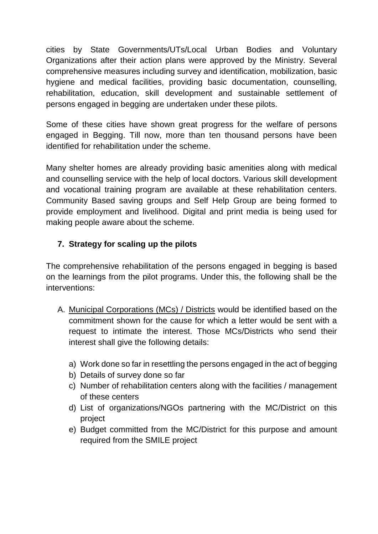cities by State Governments/UTs/Local Urban Bodies and Voluntary Organizations after their action plans were approved by the Ministry. Several comprehensive measures including survey and identification, mobilization, basic hygiene and medical facilities, providing basic documentation, counselling, rehabilitation, education, skill development and sustainable settlement of persons engaged in begging are undertaken under these pilots.

Some of these cities have shown great progress for the welfare of persons engaged in Begging. Till now, more than ten thousand persons have been identified for rehabilitation under the scheme.

Many shelter homes are already providing basic amenities along with medical and counselling service with the help of local doctors. Various skill development and vocational training program are available at these rehabilitation centers. Community Based saving groups and Self Help Group are being formed to provide employment and livelihood. Digital and print media is being used for making people aware about the scheme.

### **7. Strategy for scaling up the pilots**

The comprehensive rehabilitation of the persons engaged in begging is based on the learnings from the pilot programs. Under this, the following shall be the interventions:

- A. Municipal Corporations (MCs) / Districts would be identified based on the commitment shown for the cause for which a letter would be sent with a request to intimate the interest. Those MCs/Districts who send their interest shall give the following details:
	- a) Work done so far in resettling the persons engaged in the act of begging
	- b) Details of survey done so far
	- c) Number of rehabilitation centers along with the facilities / management of these centers
	- d) List of organizations/NGOs partnering with the MC/District on this project
	- e) Budget committed from the MC/District for this purpose and amount required from the SMILE project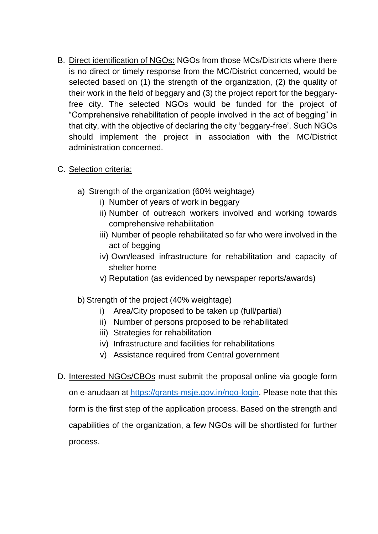- B. Direct identification of NGOs: NGOs from those MCs/Districts where there is no direct or timely response from the MC/District concerned, would be selected based on (1) the strength of the organization, (2) the quality of their work in the field of beggary and (3) the project report for the beggaryfree city. The selected NGOs would be funded for the project of "Comprehensive rehabilitation of people involved in the act of begging" in that city, with the objective of declaring the city 'beggary-free'. Such NGOs should implement the project in association with the MC/District administration concerned.
- C. Selection criteria:
	- a) Strength of the organization (60% weightage)
		- i) Number of years of work in beggary
		- ii) Number of outreach workers involved and working towards comprehensive rehabilitation
		- iii) Number of people rehabilitated so far who were involved in the act of begging
		- iv) Own/leased infrastructure for rehabilitation and capacity of shelter home
		- v) Reputation (as evidenced by newspaper reports/awards)
	- b) Strength of the project (40% weightage)
		- i) Area/City proposed to be taken up (full/partial)
		- ii) Number of persons proposed to be rehabilitated
		- iii) Strategies for rehabilitation
		- iv) Infrastructure and facilities for rehabilitations
		- v) Assistance required from Central government
- D. Interested NGOs/CBOs must submit the proposal online via google form on e-anudaan at [https://grants-msje.gov.in/ngo-login.](https://grants-msje.gov.in/ngo-login) Please note that this form is the first step of the application process. Based on the strength and capabilities of the organization, a few NGOs will be shortlisted for further process.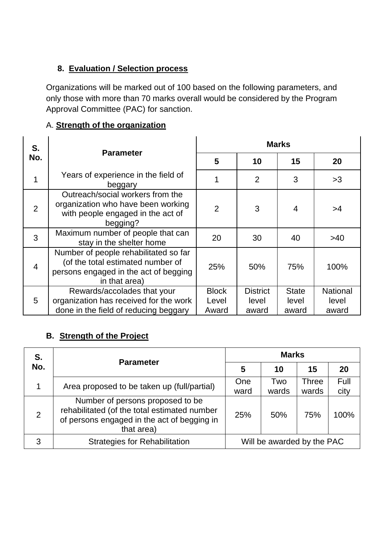# **8. Evaluation / Selection process**

Organizations will be marked out of 100 based on the following parameters, and only those with more than 70 marks overall would be considered by the Program Approval Committee (PAC) for sanction.

# A. **Strength of the organization**

| S.             |                                                                                                                                      | <b>Marks</b>                   |                                   |                                |                                   |  |
|----------------|--------------------------------------------------------------------------------------------------------------------------------------|--------------------------------|-----------------------------------|--------------------------------|-----------------------------------|--|
| No.            | <b>Parameter</b>                                                                                                                     | 5                              | 10                                | 15                             | 20                                |  |
| 1              | Years of experience in the field of<br>beggary                                                                                       | 1                              | $\overline{2}$                    | 3                              | >3                                |  |
| $\overline{2}$ | Outreach/social workers from the<br>organization who have been working<br>with people engaged in the act of<br>begging?              | $\overline{2}$                 | 3                                 | $\overline{4}$                 | >4                                |  |
| 3              | Maximum number of people that can<br>stay in the shelter home                                                                        | 20                             | 30                                | 40                             | >40                               |  |
| $\overline{4}$ | Number of people rehabilitated so far<br>(of the total estimated number of<br>persons engaged in the act of begging<br>in that area) | 25%                            | 50%                               | 75%                            | 100%                              |  |
| 5              | Rewards/accolades that your<br>organization has received for the work<br>done in the field of reducing beggary                       | <b>Block</b><br>Level<br>Award | <b>District</b><br>level<br>award | <b>State</b><br>level<br>award | <b>National</b><br>level<br>award |  |

# **B. Strength of the Project**

| S.<br>No. | <b>Parameter</b>                                                                                                                              | <b>Marks</b>               |              |                       |              |
|-----------|-----------------------------------------------------------------------------------------------------------------------------------------------|----------------------------|--------------|-----------------------|--------------|
|           |                                                                                                                                               | 5                          | 10           | 15                    | 20           |
|           | Area proposed to be taken up (full/partial)                                                                                                   | One<br>ward                | Two<br>wards | <b>Three</b><br>wards | Full<br>city |
| 2         | Number of persons proposed to be<br>rehabilitated (of the total estimated number<br>of persons engaged in the act of begging in<br>that area) | 25%                        | 50%          | 75%                   | 100%         |
| 3         | <b>Strategies for Rehabilitation</b>                                                                                                          | Will be awarded by the PAC |              |                       |              |